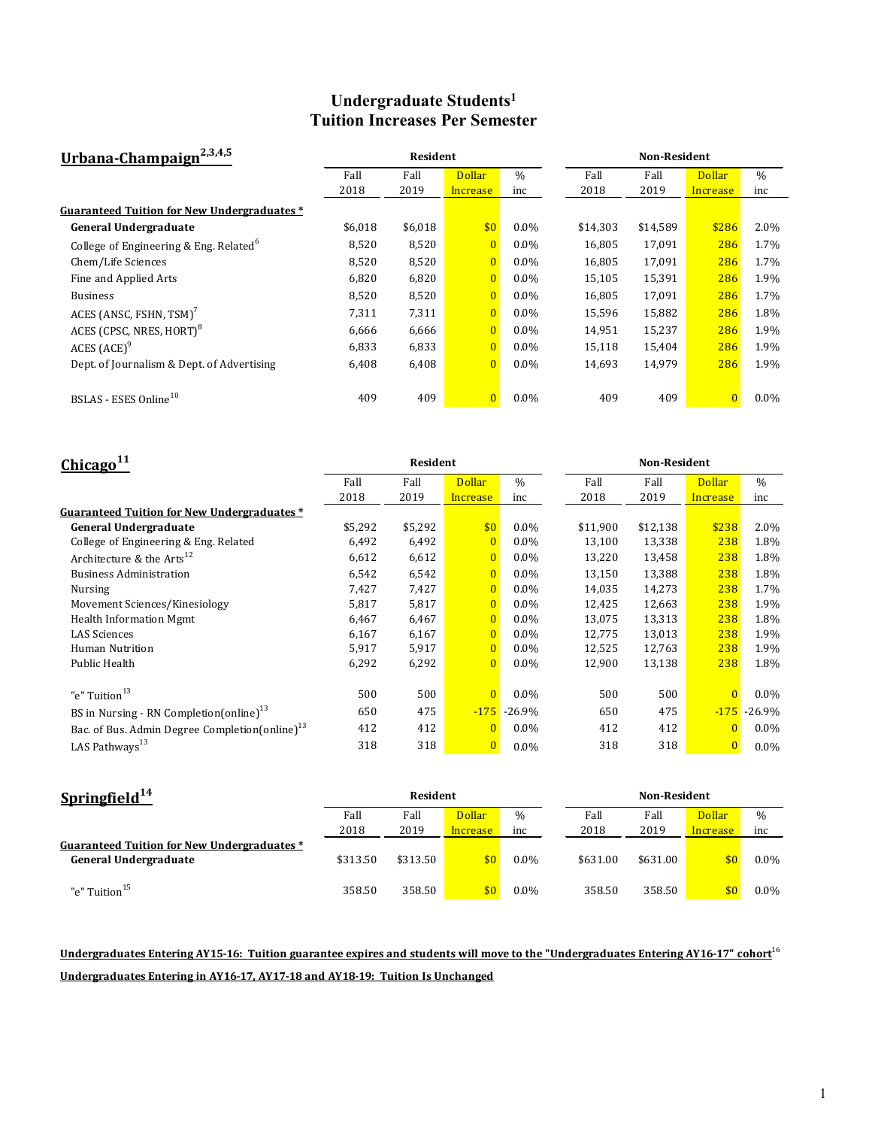### **Undergraduate Students1 Tuition Increases Per Semester**

| Urbana-Champaign <sup>2,3,4,5</sup>                |         | Resident |                |               | <b>Non-Resident</b> |          |                |         |
|----------------------------------------------------|---------|----------|----------------|---------------|---------------------|----------|----------------|---------|
|                                                    | Fall    | Fall     | <b>Dollar</b>  | $\frac{0}{0}$ | Fall                | Fall     | <b>Dollar</b>  | $\%$    |
|                                                    | 2018    | 2019     | Increase       | inc           | 2018                | 2019     | Increase       | inc     |
| Guaranteed Tuition for New Undergraduates *        |         |          |                |               |                     |          |                |         |
| General Undergraduate                              | \$6,018 | \$6,018  | \$0            | $0.0\%$       | \$14,303            | \$14,589 | \$286          | 2.0%    |
| College of Engineering & Eng. Related <sup>6</sup> | 8,520   | 8,520    | $\overline{0}$ | $0.0\%$       | 16,805              | 17,091   | 286            | 1.7%    |
| Chem/Life Sciences                                 | 8,520   | 8,520    | $\overline{0}$ | $0.0\%$       | 16,805              | 17,091   | 286            | 1.7%    |
| Fine and Applied Arts                              | 6,820   | 6,820    | $\overline{0}$ | $0.0\%$       | 15,105              | 15,391   | 286            | 1.9%    |
| <b>Business</b>                                    | 8,520   | 8,520    | $\overline{0}$ | $0.0\%$       | 16,805              | 17,091   | 286            | 1.7%    |
| ACES (ANSC, FSHN, TSM) <sup>7</sup>                | 7,311   | 7,311    | $\overline{0}$ | $0.0\%$       | 15,596              | 15,882   | 286            | 1.8%    |
| ACES (CPSC, NRES, HORT) <sup>8</sup>               | 6,666   | 6,666    | $\overline{0}$ | $0.0\%$       | 14,951              | 15,237   | 286            | 1.9%    |
| ACES (ACE) <sup>9</sup>                            | 6,833   | 6,833    | $\overline{0}$ | $0.0\%$       | 15,118              | 15,404   | 286            | 1.9%    |
| Dept. of Journalism & Dept. of Advertising         | 6,408   | 6,408    | $\overline{0}$ | $0.0\%$       | 14,693              | 14,979   | 286            | 1.9%    |
|                                                    |         |          |                |               |                     |          |                |         |
| BSLAS - ESES Online <sup>10</sup>                  | 409     | 409      | $\overline{0}$ | $0.0\%$       | 409                 | 409      | $\overline{0}$ | $0.0\%$ |

| Chicago <sup>11</sup>                                      |         | Resident |                |               | <b>Non-Resident</b> |          |                |               |  |
|------------------------------------------------------------|---------|----------|----------------|---------------|---------------------|----------|----------------|---------------|--|
|                                                            | Fall    | Fall     | <b>Dollar</b>  | $\frac{0}{0}$ | Fall                | Fall     | <b>Dollar</b>  | $\frac{0}{0}$ |  |
|                                                            | 2018    | 2019     | Increase       | inc           | 2018                | 2019     | Increase       | inc           |  |
| <b>Guaranteed Tuition for New Undergraduates*</b>          |         |          |                |               |                     |          |                |               |  |
| <b>General Undergraduate</b>                               | \$5,292 | \$5,292  | \$0            | $0.0\%$       | \$11,900            | \$12,138 | \$238          | 2.0%          |  |
| College of Engineering & Eng. Related                      | 6,492   | 6,492    | $\mathbf{0}$   | $0.0\%$       | 13,100              | 13,338   | 238            | 1.8%          |  |
| Architecture & the $Arts^{12}$                             | 6,612   | 6,612    | $\overline{0}$ | $0.0\%$       | 13,220              | 13,458   | 238            | 1.8%          |  |
| <b>Business Administration</b>                             | 6,542   | 6,542    | $\mathbf{0}$   | $0.0\%$       | 13,150              | 13,388   | 238            | 1.8%          |  |
| Nursing                                                    | 7,427   | 7,427    | $\overline{0}$ | $0.0\%$       | 14,035              | 14,273   | 238            | 1.7%          |  |
| Movement Sciences/Kinesiology                              | 5,817   | 5,817    | $\overline{0}$ | $0.0\%$       | 12,425              | 12,663   | 238            | 1.9%          |  |
| Health Information Mgmt                                    | 6,467   | 6,467    | $\Omega$       | $0.0\%$       | 13,075              | 13,313   | 238            | 1.8%          |  |
| <b>LAS Sciences</b>                                        | 6,167   | 6,167    | $\mathbf{0}$   | $0.0\%$       | 12,775              | 13,013   | 238            | 1.9%          |  |
| Human Nutrition                                            | 5,917   | 5,917    | $\overline{0}$ | $0.0\%$       | 12,525              | 12,763   | 238            | 1.9%          |  |
| Public Health                                              | 6,292   | 6,292    | $\overline{0}$ | $0.0\%$       | 12,900              | 13,138   | 238            | 1.8%          |  |
|                                                            |         |          |                |               |                     |          |                |               |  |
| "e" Tuition <sup>13</sup>                                  | 500     | 500      | $\overline{0}$ | $0.0\%$       | 500                 | 500      | $\overline{0}$ | $0.0\%$       |  |
| BS in Nursing - RN Completion(online) <sup>13</sup>        | 650     | 475      | $-175$         | $-26.9\%$     | 650                 | 475      | $-175$         | $-26.9%$      |  |
| Bac. of Bus. Admin Degree Completion(online) <sup>13</sup> | 412     | 412      | $\mathbf{0}$   | $0.0\%$       | 412                 | 412      | $\Omega$       | $0.0\%$       |  |
| LAS Pathways <sup>13</sup>                                 | 318     | 318      | $\bf{0}$       | $0.0\%$       | 318                 | 318      |                | $0.0\%$       |  |

| Springfield $^{14}$                                                  | Resident |          |               |               |          | <b>Non-Resident</b> |               |         |  |
|----------------------------------------------------------------------|----------|----------|---------------|---------------|----------|---------------------|---------------|---------|--|
|                                                                      | Fall     | Fall     | <b>Dollar</b> | $\frac{0}{0}$ | Fall     | Fall                | <b>Dollar</b> | $\%$    |  |
|                                                                      | 2018     | 2019     | Increase      | inc           | 2018     | 2019                | Increase      | inc     |  |
| Guaranteed Tuition for New Undergraduates *<br>General Undergraduate | \$313.50 | \$313.50 | \$0           | $0.0\%$       | \$631.00 | \$631.00            | \$0           | $0.0\%$ |  |
| "e" Tuition <sup>15</sup>                                            | 358.50   | 358.50   | \$0           | $0.0\%$       | 358.50   | 358.50              | \$0           | $0.0\%$ |  |

# **Undergraduates Entering AY15-16: Tuition guarantee expires and students will move to the "Undergraduates Entering AY16-17" cohort**<sup>16</sup> **Undergraduates Entering in AY16-17, AY17-18 and AY18-19: Tuition Is Unchanged**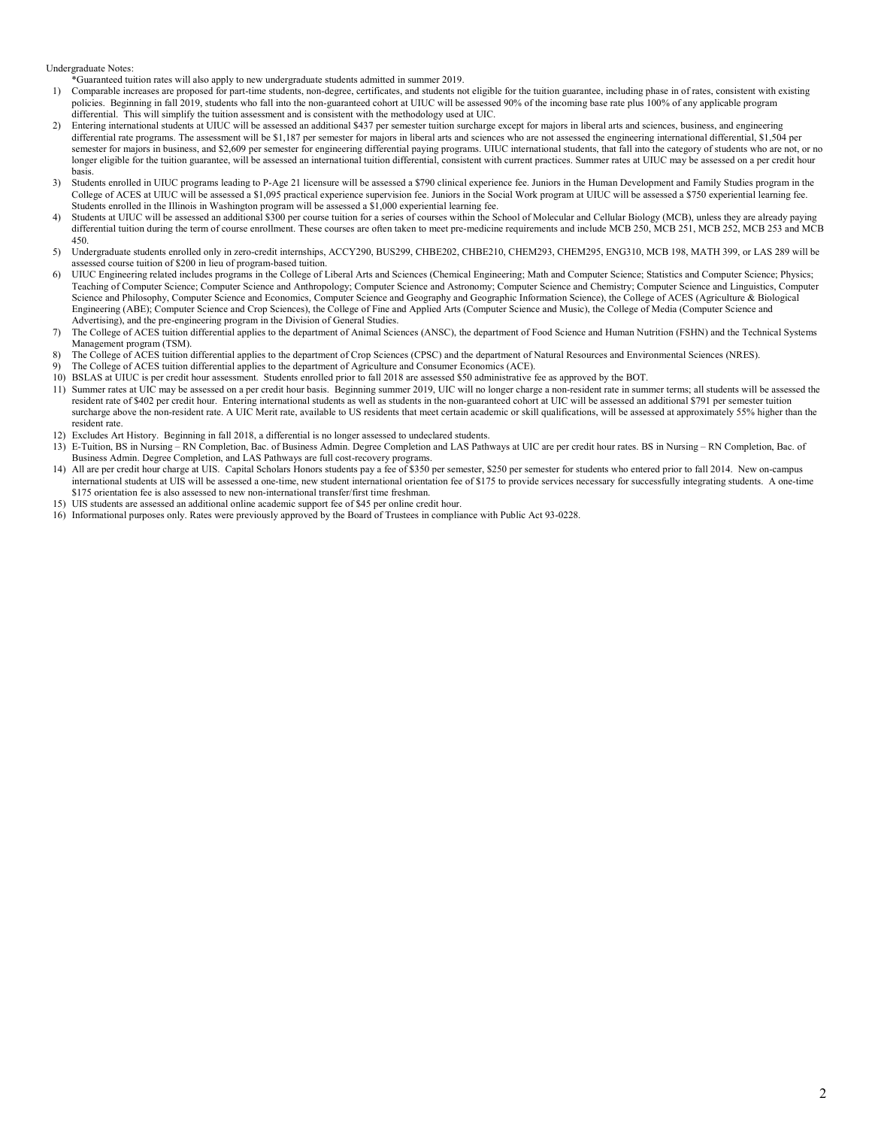Undergraduate Notes:

\*Guaranteed tuition rates will also apply to new undergraduate students admitted in summer 2019.

- 1) Comparable increases are proposed for part-time students, non-degree, certificates, and students not eligible for the tuition guarantee, including phase in of rates, consistent with existing policies. Beginning in fall 2019, students who fall into the non-guaranteed cohort at UIUC will be assessed 90% of the incoming base rate plus 100% of any applicable program differential. This will simplify the tuition assessment and is consistent with the methodology used at UIC.
- 2) Entering international students at UIUC will be assessed an additional \$437 per semester tuition surcharge except for majors in liberal arts and sciences, business, and engineering differential rate programs. The assessment will be \$1,187 per semester for majors in liberal arts and sciences who are not assessed the engineering international differential, \$1,504 per semester for majors in business, and \$2,609 per semester for engineering differential paying programs. UIUC international students, that fall into the category of students who are not, or no longer eligible for the tuition guarantee, will be assessed an international tuition differential, consistent with current practices. Summer rates at UIUC may be assessed on a per credit hour basis.
- 3) Students enrolled in UIUC programs leading to P-Age 21 licensure will be assessed a \$790 clinical experience fee. Juniors in the Human Development and Family Studies program in the College of ACES at UIUC will be assessed a \$1,095 practical experience supervision fee. Juniors in the Social Work program at UIUC will be assessed a \$750 experiential learning fee. Students enrolled in the Illinois in Washington program will be assessed a \$1,000 experiential learning fee.
- 4) Students at UIUC will be assessed an additional \$300 per course tuition for a series of courses within the School of Molecular and Cellular Biology (MCB), unless they are already paying differential tuition during the term of course enrollment. These courses are often taken to meet pre-medicine requirements and include MCB 250, MCB 251, MCB 252, MCB 253 and MCB 450.
- 5) Undergraduate students enrolled only in zero-credit internships, ACCY290, BUS299, CHBE202, CHBE210, CHEM293, CHEM295, ENG310, MCB 198, MATH 399, or LAS 289 will be assessed course tuition of \$200 in lieu of program-based tuition.
- 6) UIUC Engineering related includes programs in the College of Liberal Arts and Sciences (Chemical Engineering; Math and Computer Science; Statistics and Computer Science; Physics; Teaching of Computer Science; Computer Science and Anthropology; Computer Science and Astronomy; Computer Science and Chemistry; Computer Science and Linguistics, Computer Science and Philosophy, Computer Science and Economics, Computer Science and Geography and Geographic Information Science), the College of ACES (Agriculture & Biological Engineering (ABE); Computer Science and Crop Sciences), the College of Fine and Applied Arts (Computer Science and Music), the College of Media (Computer Science and Advertising), and the pre-engineering program in the Division of General Studies.
- 7) The College of ACES tuition differential applies to the department of Animal Sciences (ANSC), the department of Food Science and Human Nutrition (FSHN) and the Technical Systems Management program (TSM).
- 8) The College of ACES tuition differential applies to the department of Crop Sciences (CPSC) and the department of Natural Resources and Environmental Sciences (NRES).
- 9) The College of ACES tuition differential applies to the department of Agriculture and Consumer Economics (ACE).
- 10) BSLAS at UIUC is per credit hour assessment. Students enrolled prior to fall 2018 are assessed \$50 administrative fee as approved by the BOT.
- 11) Summer rates at UIC may be assessed on a per credit hour basis. Beginning summer 2019, UIC will no longer charge a non-resident rate in summer terms; all students will be assessed the resident rate of \$402 per credit hour. Entering international students as well as students in the non-guaranteed cohort at UIC will be assessed an additional \$791 per semester tuition surcharge above the non-resident rate. A UIC Merit rate, available to US residents that meet certain academic or skill qualifications, will be assessed at approximately 55% higher than the resident rate.
- 12) Excludes Art History. Beginning in fall 2018, a differential is no longer assessed to undeclared students.
- 13) E-Tuition, BS in Nursing RN Completion, Bac. of Business Admin. Degree Completion and LAS Pathways at UIC are per credit hour rates. BS in Nursing RN Completion, Bac. of Business Admin. Degree Completion, and LAS Pathways are full cost-recovery programs.
- 14) All are per credit hour charge at UIS. Capital Scholars Honors students pay a fee of \$350 per semester, \$250 per semester for students who entered prior to fall 2014. New on-campus international students at UIS will be assessed a one-time, new student international orientation fee of \$175 to provide services necessary for successfully integrating students. A one-time \$175 orientation fee is also assessed to new non-international transfer/first time freshman.
- 15) UIS students are assessed an additional online academic support fee of \$45 per online credit hour.
- 16) Informational purposes only. Rates were previously approved by the Board of Trustees in compliance with Public Act 93-0228.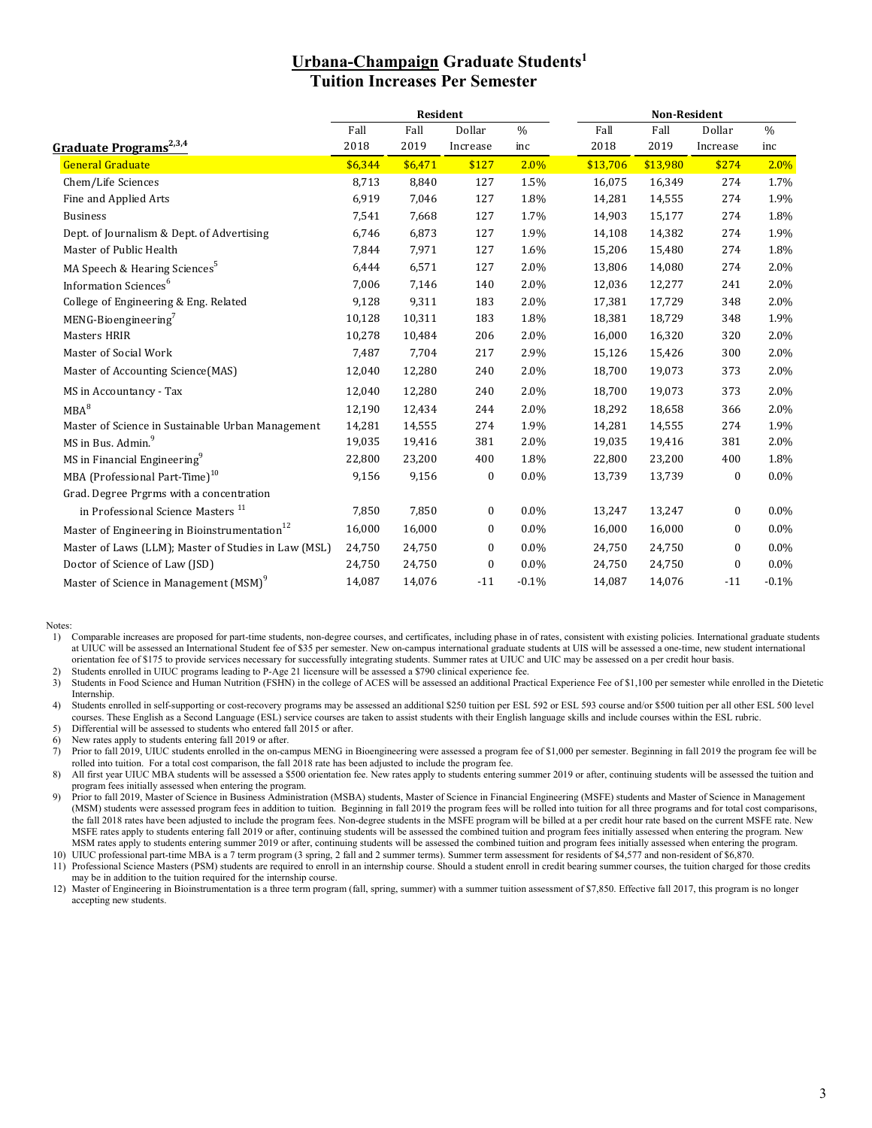### **Urbana-Champaign Graduate Students1 Tuition Increases Per Semester**

|                                                           |         | Resident |              |         |          | Non-Resident |                  |               |  |  |
|-----------------------------------------------------------|---------|----------|--------------|---------|----------|--------------|------------------|---------------|--|--|
|                                                           | Fall    | Fall     | Dollar       | $\%$    | Fall     | Fall         | Dollar           | $\frac{0}{0}$ |  |  |
| <u>Graduate Programs<sup>2,3,4</sup></u>                  | 2018    | 2019     | Increase     | inc     | 2018     | 2019         | Increase         | inc           |  |  |
| <b>General Graduate</b>                                   | \$6,344 | \$6,471  | \$127        | 2.0%    | \$13,706 | \$13,980     | \$274            | 2.0%          |  |  |
| Chem/Life Sciences                                        | 8,713   | 8,840    | 127          | 1.5%    | 16,075   | 16,349       | 274              | 1.7%          |  |  |
| Fine and Applied Arts                                     | 6,919   | 7,046    | 127          | 1.8%    | 14,281   | 14,555       | 274              | 1.9%          |  |  |
| <b>Business</b>                                           | 7,541   | 7,668    | 127          | 1.7%    | 14,903   | 15,177       | 274              | 1.8%          |  |  |
| Dept. of Journalism & Dept. of Advertising                | 6,746   | 6,873    | 127          | 1.9%    | 14,108   | 14,382       | 274              | 1.9%          |  |  |
| Master of Public Health                                   | 7,844   | 7,971    | 127          | 1.6%    | 15,206   | 15,480       | 274              | 1.8%          |  |  |
| MA Speech & Hearing Sciences <sup>5</sup>                 | 6,444   | 6,571    | 127          | 2.0%    | 13,806   | 14,080       | 274              | 2.0%          |  |  |
| Information Sciences <sup>6</sup>                         | 7,006   | 7,146    | 140          | 2.0%    | 12,036   | 12,277       | 241              | 2.0%          |  |  |
| College of Engineering & Eng. Related                     | 9,128   | 9,311    | 183          | 2.0%    | 17,381   | 17,729       | 348              | 2.0%          |  |  |
| $MENG-Bioengineering7$                                    | 10,128  | 10,311   | 183          | 1.8%    | 18,381   | 18,729       | 348              | 1.9%          |  |  |
| Masters HRIR                                              | 10,278  | 10,484   | 206          | 2.0%    | 16,000   | 16,320       | 320              | 2.0%          |  |  |
| Master of Social Work                                     | 7,487   | 7,704    | 217          | 2.9%    | 15,126   | 15,426       | 300              | 2.0%          |  |  |
| Master of Accounting Science(MAS)                         | 12,040  | 12,280   | 240          | 2.0%    | 18,700   | 19,073       | 373              | 2.0%          |  |  |
| MS in Accountancy - Tax                                   | 12,040  | 12,280   | 240          | 2.0%    | 18,700   | 19,073       | 373              | 2.0%          |  |  |
| $MBA^8$                                                   | 12,190  | 12,434   | 244          | 2.0%    | 18,292   | 18,658       | 366              | 2.0%          |  |  |
| Master of Science in Sustainable Urban Management         | 14,281  | 14,555   | 274          | 1.9%    | 14,281   | 14,555       | 274              | 1.9%          |  |  |
| MS in Bus. Admin. <sup>9</sup>                            | 19,035  | 19,416   | 381          | 2.0%    | 19,035   | 19,416       | 381              | 2.0%          |  |  |
| MS in Financial Engineering <sup>9</sup>                  | 22,800  | 23,200   | 400          | 1.8%    | 22,800   | 23,200       | 400              | 1.8%          |  |  |
| MBA (Professional Part-Time) <sup>10</sup>                | 9,156   | 9,156    | $\mathbf{0}$ | $0.0\%$ | 13,739   | 13,739       | $\mathbf{0}$     | $0.0\%$       |  |  |
| Grad. Degree Prgrms with a concentration                  |         |          |              |         |          |              |                  |               |  |  |
| in Professional Science Masters <sup>11</sup>             | 7,850   | 7,850    | $\mathbf{0}$ | $0.0\%$ | 13,247   | 13,247       | 0                | $0.0\%$       |  |  |
| Master of Engineering in Bioinstrumentation <sup>12</sup> | 16,000  | 16,000   | 0            | $0.0\%$ | 16,000   | 16,000       | $\mathbf{0}$     | $0.0\%$       |  |  |
| Master of Laws (LLM); Master of Studies in Law (MSL)      | 24,750  | 24,750   | $\mathbf{0}$ | $0.0\%$ | 24,750   | 24,750       | $\boldsymbol{0}$ | $0.0\%$       |  |  |
| Doctor of Science of Law (JSD)                            | 24,750  | 24,750   | $\mathbf{0}$ | $0.0\%$ | 24,750   | 24,750       | $\boldsymbol{0}$ | $0.0\%$       |  |  |
| Master of Science in Management (MSM) <sup>9</sup>        | 14,087  | 14,076   | $-11$        | $-0.1%$ | 14,087   | 14,076       | $-11$            | $-0.1%$       |  |  |

Notes:

1) Comparable increases are proposed for part-time students, non-degree courses, and certificates, including phase in of rates, consistent with existing policies. International graduate students at UIUC will be assessed an International Student fee of \$35 per semester. New on-campus international graduate students at UIS will be assessed a one-time, new student international orientation fee of \$175 to provide services necessary for successfully integrating students. Summer rates at UIUC and UIC may be assessed on a per credit hour basis.

2) Students enrolled in UIUC programs leading to P-Age 21 licensure will be assessed a \$790 clinical experience fee.<br>3) Students in Food Science and Human Nutrition (FSHN) in the college of ACES will be assessed an additio 3) Students in Food Science and Human Nutrition (FSHN) in the college of ACES will be assessed an additional Practical Experience Fee of \$1,100 per semester while enrolled in the Dietetic Internship.

4) Students enrolled in self-supporting or cost-recovery programs may be assessed an additional \$250 tuition per ESL 592 or ESL 593 course and/or \$500 tuition per all other ESL 500 level courses. These English as a Second Language (ESL) service courses are taken to assist students with their English language skills and include courses within the ESL rubric. 5) Differential will be assessed to students who entered fall 2015 or after.

6) New rates apply to students entering fall 2019 or after.<br>
7) Prior to fall 2019, UIUC students enrolled in the on-can 7) Prior to fall 2019, UIUC students enrolled in the on-campus MENG in Bioengineering were assessed a program fee of \$1,000 per semester. Beginning in fall 2019 the program fee will be rolled into tuition. For a total cost comparison, the fall 2018 rate has been adjusted to include the program fee.

8) All first year UIUC MBA students will be assessed a \$500 orientation fee. New rates apply to students entering summer 2019 or after, continuing students will be assessed the tuition and program fees initially assessed when entering the program.

9) Prior to fall 2019, Master of Science in Business Administration (MSBA) students, Master of Science in Financial Engineering (MSFE) students and Master of Science in Management (MSM) students were assessed program fees in addition to tuition. Beginning in fall 2019 the program fees will be rolled into tuition for all three programs and for total cost comparisons, the fall 2018 rates have been adjusted to include the program fees. Non-degree students in the MSFE program will be billed at a per credit hour rate based on the current MSFE rate. New MSFE rates apply to students entering fall 2019 or after, continuing students will be assessed the combined tuition and program fees initially assessed when entering the program. New MSM rates apply to students entering summer 2019 or after, continuing students will be assessed the combined tuition and program fees initially assessed when entering the program.

10) UIUC professional part-time MBA is a 7 term program (3 spring, 2 fall and 2 summer terms). Summer term assessment for residents of \$4,577 and non-resident of \$6,870. 11) Professional Science Masters (PSM) students are required to enroll in an internship course. Should a student enroll in credit bearing summer courses, the tuition charged for those credits

may be in addition to the tuition required for the internship course.

12) Master of Engineering in Bioinstrumentation is a three term program (fall, spring, summer) with a summer tuition assessment of \$7,850. Effective fall 2017, this program is no longer accepting new students.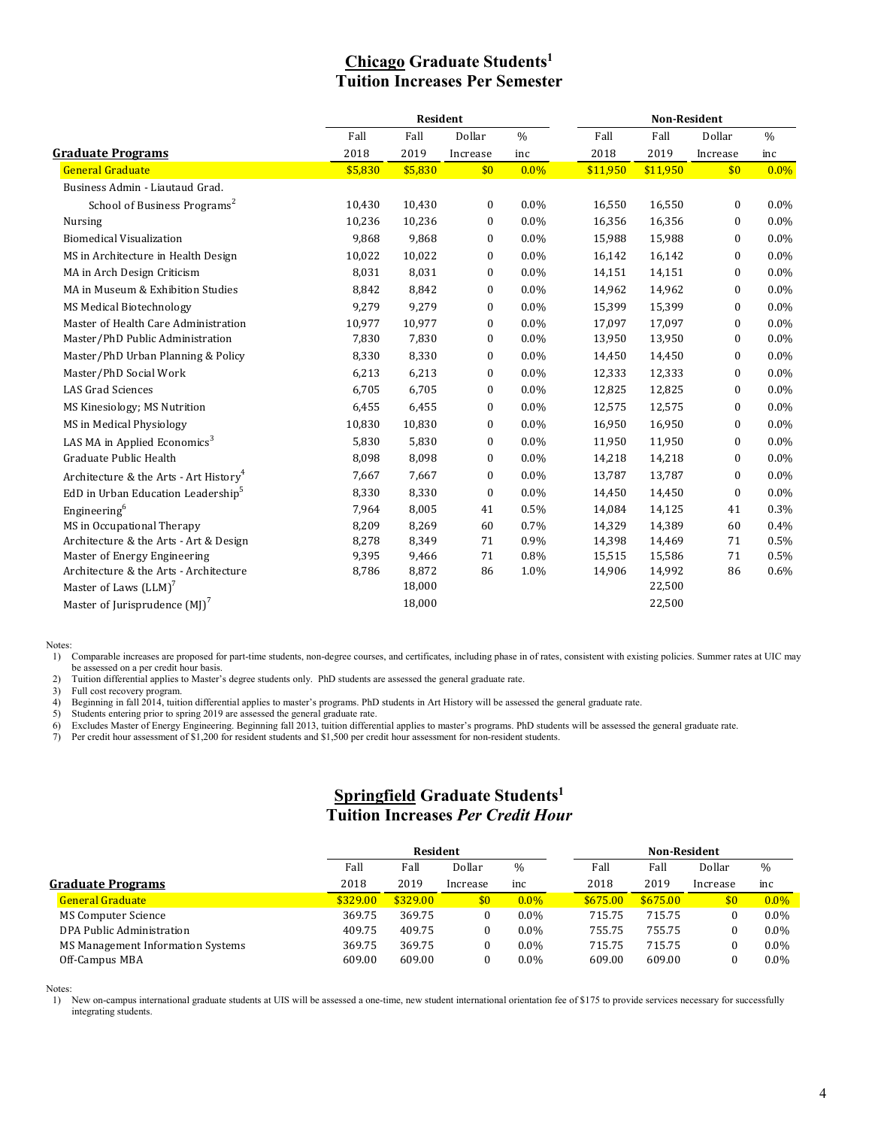# **Chicago Graduate Students1 Tuition Increases Per Semester**

| <b>Resident</b>                                    |         |         |              |               | Non-Resident |          |              |               |  |
|----------------------------------------------------|---------|---------|--------------|---------------|--------------|----------|--------------|---------------|--|
|                                                    | Fall    | Fall    | Dollar       | $\frac{0}{0}$ | Fall         | Fall     | Dollar       | $\frac{0}{0}$ |  |
| <b>Graduate Programs</b>                           | 2018    | 2019    | Increase     | inc           | 2018         | 2019     | Increase     | inc           |  |
| <b>General Graduate</b>                            | \$5,830 | \$5,830 | \$0          | $0.0\%$       | \$11,950     | \$11,950 | \$0          | $0.0\%$       |  |
| Business Admin - Liautaud Grad.                    |         |         |              |               |              |          |              |               |  |
| School of Business Programs <sup>2</sup>           | 10,430  | 10,430  | $\mathbf{0}$ | $0.0\%$       | 16,550       | 16,550   | $\mathbf{0}$ | $0.0\%$       |  |
| <b>Nursing</b>                                     | 10,236  | 10,236  | $\mathbf{0}$ | 0.0%          | 16,356       | 16,356   | 0            | $0.0\%$       |  |
| <b>Biomedical Visualization</b>                    | 9,868   | 9,868   | $\mathbf{0}$ | $0.0\%$       | 15,988       | 15,988   | $\mathbf{0}$ | $0.0\%$       |  |
| MS in Architecture in Health Design                | 10,022  | 10,022  | $\mathbf{0}$ | 0.0%          | 16,142       | 16,142   | $\mathbf{0}$ | $0.0\%$       |  |
| MA in Arch Design Criticism                        | 8,031   | 8,031   | $\mathbf{0}$ | $0.0\%$       | 14,151       | 14,151   | $\mathbf{0}$ | $0.0\%$       |  |
| MA in Museum & Exhibition Studies                  | 8,842   | 8,842   | $\bf{0}$     | $0.0\%$       | 14,962       | 14,962   | $\mathbf{0}$ | $0.0\%$       |  |
| <b>MS Medical Biotechnology</b>                    | 9,279   | 9,279   | $\mathbf{0}$ | $0.0\%$       | 15,399       | 15,399   | $\mathbf{0}$ | $0.0\%$       |  |
| Master of Health Care Administration               | 10,977  | 10,977  | $\mathbf{0}$ | 0.0%          | 17,097       | 17,097   | $\mathbf{0}$ | $0.0\%$       |  |
| Master/PhD Public Administration                   | 7,830   | 7,830   | $\mathbf{0}$ | 0.0%          | 13,950       | 13,950   | $\mathbf{0}$ | $0.0\%$       |  |
| Master/PhD Urban Planning & Policy                 | 8,330   | 8,330   | $\mathbf{0}$ | $0.0\%$       | 14,450       | 14,450   | 0            | $0.0\%$       |  |
| Master/PhD Social Work                             | 6,213   | 6,213   | $\mathbf{0}$ | $0.0\%$       | 12,333       | 12,333   | $\mathbf{0}$ | $0.0\%$       |  |
| <b>LAS Grad Sciences</b>                           | 6,705   | 6,705   | $\mathbf{0}$ | 0.0%          | 12,825       | 12,825   | $\mathbf{0}$ | $0.0\%$       |  |
| MS Kinesiology; MS Nutrition                       | 6,455   | 6,455   | 0            | $0.0\%$       | 12,575       | 12,575   | 0            | $0.0\%$       |  |
| MS in Medical Physiology                           | 10,830  | 10,830  | $\mathbf{0}$ | 0.0%          | 16,950       | 16,950   | $\mathbf{0}$ | 0.0%          |  |
| LAS MA in Applied Economics <sup>3</sup>           | 5,830   | 5,830   | $\mathbf{0}$ | 0.0%          | 11,950       | 11,950   | $\mathbf{0}$ | $0.0\%$       |  |
| Graduate Public Health                             | 8,098   | 8,098   | $\mathbf{0}$ | $0.0\%$       | 14,218       | 14,218   | $\mathbf{0}$ | $0.0\%$       |  |
| Architecture & the Arts - Art History <sup>4</sup> | 7,667   | 7,667   | $\mathbf{0}$ | $0.0\%$       | 13,787       | 13,787   | $\mathbf{0}$ | $0.0\%$       |  |
| EdD in Urban Education Leadership <sup>5</sup>     | 8,330   | 8,330   | $\bf{0}$     | 0.0%          | 14,450       | 14,450   | $\mathbf{0}$ | 0.0%          |  |
| Engineering <sup>6</sup>                           | 7,964   | 8,005   | 41           | 0.5%          | 14,084       | 14,125   | 41           | 0.3%          |  |
| MS in Occupational Therapy                         | 8,209   | 8,269   | 60           | 0.7%          | 14,329       | 14,389   | 60           | $0.4\%$       |  |
| Architecture & the Arts - Art & Design             | 8,278   | 8,349   | 71           | 0.9%          | 14,398       | 14,469   | 71           | 0.5%          |  |
| Master of Energy Engineering                       | 9,395   | 9,466   | 71           | 0.8%          | 15,515       | 15,586   | 71           | 0.5%          |  |
| Architecture & the Arts - Architecture             | 8,786   | 8,872   | 86           | 1.0%          | 14,906       | 14,992   | 86           | $0.6\%$       |  |
| Master of Laws (LLM) <sup>7</sup>                  |         | 18,000  |              |               |              | 22,500   |              |               |  |
| Master of Jurisprudence $(MI)^7$                   |         | 18,000  |              |               |              | 22,500   |              |               |  |

Notes:

1) Comparable increases are proposed for part-time students, non-degree courses, and certificates, including phase in of rates, consistent with existing policies. Summer rates at UIC may be assessed on a per credit hour basis.

2) Tuition differential applies to Master's degree students only. PhD students are assessed the general graduate rate.<br>3) Full cost recovery program.

3) Full cost recovery program.<br>4) Beginning in fall 2014, tuiti

4) Beginning in fall 2014, tuition differential applies to master's programs. PhD students in Art History will be assessed the general graduate rate.<br>5) Students entering prior to spring 2019 are assessed the general gradu

5) Students entering prior to spring 2019 are assessed the general graduate rate.<br>6) Excludes Master of Energy Engineering. Beginning fall 2013, tuition differer 6) Excludes Master of Energy Engineering. Beginning fall 2013, tuition differential applies to master's programs. PhD students will be assessed the general graduate rate.

Per credit hour assessment of \$1,200 for resident students and \$1,500 per credit hour assessment for non-resident students.

### **Springfield Graduate Students1 Tuition Increases** *Per Credit Hour*

|                                   | Resident |          |          |         |          | <b>Non-Resident</b> |          |         |  |
|-----------------------------------|----------|----------|----------|---------|----------|---------------------|----------|---------|--|
|                                   | Fall     | Fall     | Dollar   | $\%$    | Fall     | Fall                | Dollar   | $\%$    |  |
| <b>Graduate Programs</b>          | 2018     | 2019     | Increase | inc     | 2018     | 2019                | Increase | inc     |  |
| <b>General Graduate</b>           | \$329.00 | \$329.00 | \$0      | $0.0\%$ | \$675.00 | \$675.00            | \$0      | $0.0\%$ |  |
| <b>MS Computer Science</b>        | 369.75   | 369.75   |          | $0.0\%$ | 715.75   | 715.75              | $\bf{0}$ | $0.0\%$ |  |
| DPA Public Administration         | 409.75   | 409.75   |          | $0.0\%$ | 755.75   | 755.75              | $\bf{0}$ | $0.0\%$ |  |
| MS Management Information Systems | 369.75   | 369.75   |          | $0.0\%$ | 715.75   | 715.75              | $\bf{0}$ | $0.0\%$ |  |
| Off-Campus MBA                    | 609.00   | 609.00   |          | $0.0\%$ | 609.00   | 609.00              |          | $0.0\%$ |  |

#### Notes:

1) New on-campus international graduate students at UIS will be assessed a one-time, new student international orientation fee of \$175 to provide services necessary for successfully integrating students.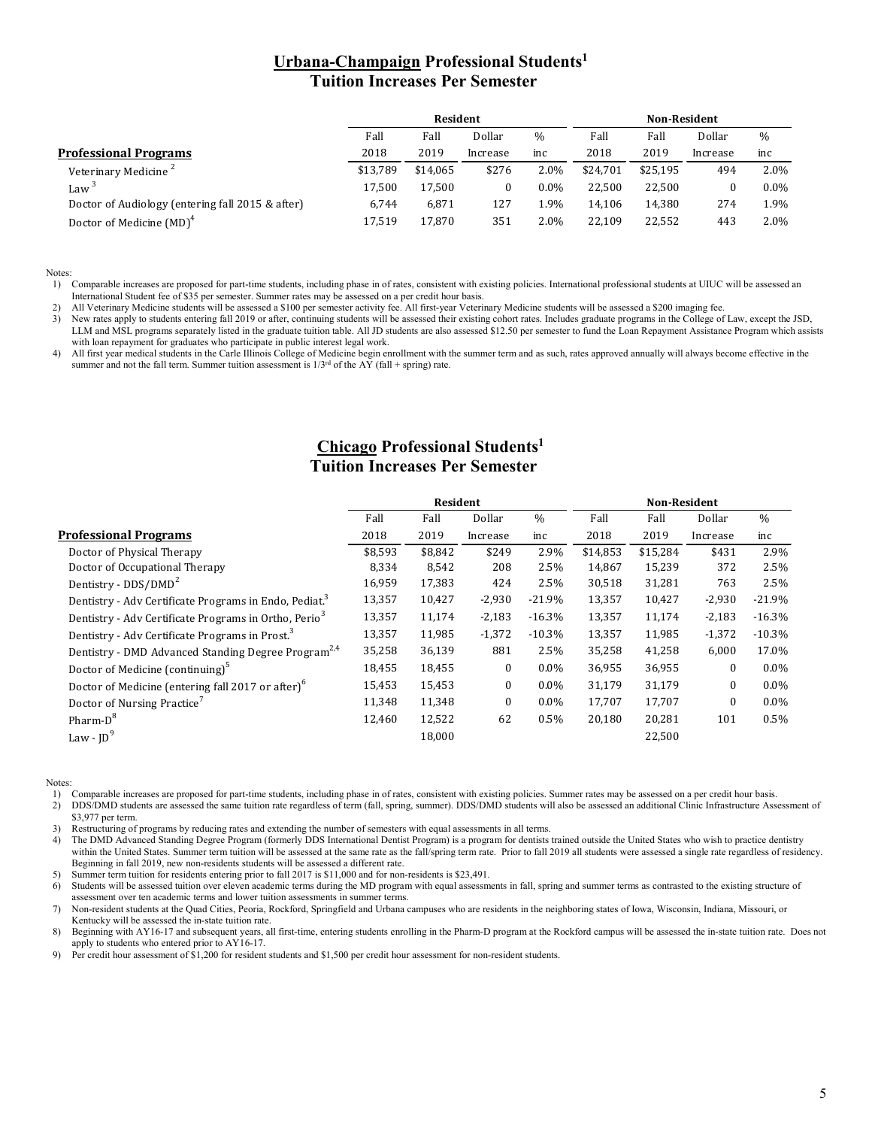### **Urbana-Champaign Professional Students1 Tuition Increases Per Semester**

|                                                  | Resident |          |          |         | <b>Non-Resident</b> |          |          |         |
|--------------------------------------------------|----------|----------|----------|---------|---------------------|----------|----------|---------|
|                                                  | Fall     | Fall     | Dollar   | $\%$    | Fall                | Fall     | Dollar   | $\%$    |
| <b>Professional Programs</b>                     | 2018     | 2019     | Increase | inc     | 2018                | 2019     | Increase | inc     |
| Veterinary Medicine <sup>2</sup>                 | \$13.789 | \$14.065 | \$276    | 2.0%    | \$24.701            | \$25.195 | 494      | $2.0\%$ |
| Law <sup>3</sup>                                 | 17.500   | 17.500   |          | $0.0\%$ | 22.500              | 22.500   |          | $0.0\%$ |
| Doctor of Audiology (entering fall 2015 & after) | 6,744    | 6,871    | 127      | 1.9%    | 14.106              | 14.380   | 274      | 1.9%    |
| Doctor of Medicine (MD) <sup>4</sup>             | 17,519   | 17.870   | 351      | 2.0%    | 22.109              | 22.552   | 443      | 2.0%    |

Notes:

1) Comparable increases are proposed for part-time students, including phase in of rates, consistent with existing policies. International professional students at UIUC will be assessed an International Student fee of \$35 per semester. Summer rates may be assessed on a per credit hour basis.

2) All Veterinary Medicine students will be assessed a \$100 per semester activity fee. All first-year Veterinary Medicine students will be assessed a \$200 imaging fee.<br>3) New rates apply to students entering fall 2019 or a

New rates apply to students entering fall 2019 or after, continuing students will be assessed their existing cohort rates. Includes graduate programs in the College of Law, except the JSD, LLM and MSL programs separately listed in the graduate tuition table. All JD students are also assessed \$12.50 per semester to fund the Loan Repayment Assistance Program which assists with loan repayment for graduates who participate in public interest legal work.

4) All first year medical students in the Carle Illinois College of Medicine begin enrollment with the summer term and as such, rates approved annually will always become effective in the summer and not the fall term. Summer tuition assessment is  $1/3^{rd}$  of the AY (fall + spring) rate.

# **Chicago Professional Students1 Tuition Increases Per Semester**

|                                                                    |         | Resident |              |          | <b>Non-Resident</b> |          |              |          |  |
|--------------------------------------------------------------------|---------|----------|--------------|----------|---------------------|----------|--------------|----------|--|
|                                                                    | Fall    | Fall     | Dollar       | $\%$     | Fall                | Fall     | Dollar       | $\%$     |  |
| <b>Professional Programs</b>                                       | 2018    | 2019     | Increase     | inc      | 2018                | 2019     | Increase     | inc      |  |
| Doctor of Physical Therapy                                         | \$8,593 | \$8,842  | \$249        | 2.9%     | \$14,853            | \$15,284 | \$431        | 2.9%     |  |
| Doctor of Occupational Therapy                                     | 8,334   | 8,542    | 208          | 2.5%     | 14,867              | 15,239   | 372          | 2.5%     |  |
| Dentistry - DDS/DMD <sup>2</sup>                                   | 16,959  | 17,383   | 424          | 2.5%     | 30,518              | 31,281   | 763          | 2.5%     |  |
| Dentistry - Adv Certificate Programs in Endo, Pediat. <sup>3</sup> | 13,357  | 10,427   | $-2,930$     | $-21.9%$ | 13,357              | 10,427   | $-2,930$     | $-21.9%$ |  |
| Dentistry - Adv Certificate Programs in Ortho, Perio <sup>3</sup>  | 13,357  | 11,174   | $-2,183$     | $-16.3%$ | 13,357              | 11,174   | $-2,183$     | $-16.3%$ |  |
| Dentistry - Adv Certificate Programs in Prost. <sup>3</sup>        | 13,357  | 11,985   | $-1,372$     | $-10.3%$ | 13,357              | 11,985   | $-1,372$     | $-10.3%$ |  |
| Dentistry - DMD Advanced Standing Degree Program <sup>2,4</sup>    | 35,258  | 36,139   | 881          | 2.5%     | 35,258              | 41,258   | 6,000        | 17.0%    |  |
| Doctor of Medicine (continuing) <sup>5</sup>                       | 18,455  | 18,455   | $\mathbf{0}$ | $0.0\%$  | 36,955              | 36,955   | $\Omega$     | $0.0\%$  |  |
| Doctor of Medicine (entering fall 2017 or after) <sup>o</sup>      | 15,453  | 15,453   | $\Omega$     | $0.0\%$  | 31.179              | 31,179   | $\Omega$     | $0.0\%$  |  |
| Doctor of Nursing Practice'                                        | 11,348  | 11,348   | $\mathbf{0}$ | $0.0\%$  | 17,707              | 17,707   | $\mathbf{0}$ | $0.0\%$  |  |
| Pharm-D <sup>8</sup>                                               | 12,460  | 12,522   | 62           | 0.5%     | 20,180              | 20,281   | 101          | 0.5%     |  |
| Law - $ID^9$                                                       |         | 18,000   |              |          |                     | 22,500   |              |          |  |
|                                                                    |         |          |              |          |                     |          |              |          |  |

Notes:

2) DDS/DMD students are assessed the same tuition rate regardless of term (fall, spring, summer). DDS/DMD students will also be assessed an additional Clinic Infrastructure Assessment of \$3,977 per term.

3) Restructuring of programs by reducing rates and extending the number of semesters with equal assessments in all terms.

4) The DMD Advanced Standing Degree Program (formerly DDS International Dentist Program) is a program for dentists trained outside the United States who wish to practice dentistry within the United States. Summer term tuition will be assessed at the same rate as the fall/spring term rate. Prior to fall 2019 all students were assessed a single rate regardless of residency. Beginning in fall 2019, new non-residents students will be assessed a different rate.

5) Summer term tuition for residents entering prior to fall 2017 is \$11,000 and for non-residents is \$23,491.

6) Students will be assessed tuition over eleven academic terms during the MD program with equal assessments in fall, spring and summer terms as contrasted to the existing structure of assessment over ten academic terms and lower tuition assessments in summer terms.

7) Non-resident students at the Quad Cities, Peoria, Rockford, Springfield and Urbana campuses who are residents in the neighboring states of Iowa, Wisconsin, Indiana, Missouri, or Kentucky will be assessed the in-state tuition rate.

8) Beginning with AY16-17 and subsequent years, all first-time, entering students enrolling in the Pharm-D program at the Rockford campus will be assessed the in-state tuition rate. Does not apply to students who entered prior to AY16-17.

9) Per credit hour assessment of \$1,200 for resident students and \$1,500 per credit hour assessment for non-resident students.

<sup>1)</sup> Comparable increases are proposed for part-time students, including phase in of rates, consistent with existing policies. Summer rates may be assessed on a per credit hour basis.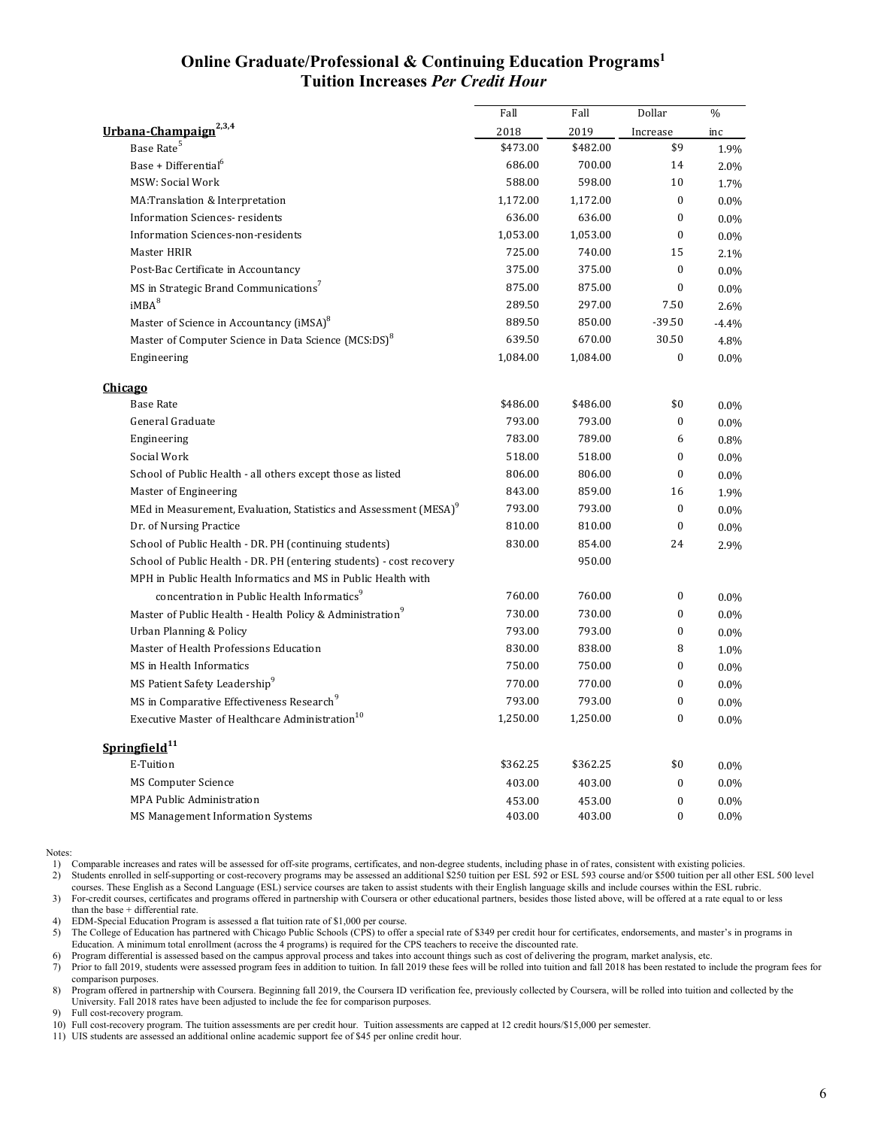### **Online Graduate/Professional & Continuing Education Programs1 Tuition Increases** *Per Credit Hour*

|                                                                               | Fall     | Fall     | Dollar           | $\%$    |
|-------------------------------------------------------------------------------|----------|----------|------------------|---------|
| Urbana-Champaign <sup>2,3,4</sup>                                             | 2018     | 2019     | Increase         | inc     |
| Base Rate <sup>5</sup>                                                        | \$473.00 | \$482.00 | \$9              | 1.9%    |
| Base + Differential <sup>o</sup>                                              | 686.00   | 700.00   | 14               | 2.0%    |
| MSW: Social Work                                                              | 588.00   | 598.00   | 10               | 1.7%    |
| MA:Translation & Interpretation                                               | 1,172.00 | 1,172.00 | $\boldsymbol{0}$ | $0.0\%$ |
| <b>Information Sciences- residents</b>                                        | 636.00   | 636.00   | $\bf{0}$         | 0.0%    |
| Information Sciences-non-residents                                            | 1,053.00 | 1,053.00 | $\mathbf{0}$     | 0.0%    |
| Master HRIR                                                                   | 725.00   | 740.00   | 15               | 2.1%    |
| Post-Bac Certificate in Accountancy                                           | 375.00   | 375.00   | $\mathbf{0}$     | $0.0\%$ |
| MS in Strategic Brand Communications <sup>7</sup>                             | 875.00   | 875.00   | $\mathbf{0}$     | $0.0\%$ |
| iMBA <sup>8</sup>                                                             | 289.50   | 297.00   | 7.50             | 2.6%    |
| Master of Science in Accountancy (iMSA) <sup>8</sup>                          | 889.50   | 850.00   | $-39.50$         | $-4.4%$ |
| Master of Computer Science in Data Science (MCS:DS) <sup>8</sup>              | 639.50   | 670.00   | 30.50            | 4.8%    |
| Engineering                                                                   | 1,084.00 | 1,084.00 | $\bf{0}$         | 0.0%    |
| <b>Chicago</b>                                                                |          |          |                  |         |
| <b>Base Rate</b>                                                              | \$486.00 | \$486.00 | \$0              | $0.0\%$ |
| General Graduate                                                              | 793.00   | 793.00   | 0                | $0.0\%$ |
| Engineering                                                                   | 783.00   | 789.00   | 6                | 0.8%    |
| Social Work                                                                   | 518.00   | 518.00   | $\bf{0}$         | $0.0\%$ |
| School of Public Health - all others except those as listed                   | 806.00   | 806.00   | 0                | $0.0\%$ |
| Master of Engineering                                                         | 843.00   | 859.00   | 16               | 1.9%    |
| MEd in Measurement, Evaluation, Statistics and Assessment (MESA) <sup>9</sup> | 793.00   | 793.00   | $\boldsymbol{0}$ | $0.0\%$ |
| Dr. of Nursing Practice                                                       | 810.00   | 810.00   | $\boldsymbol{0}$ | 0.0%    |
| School of Public Health - DR. PH (continuing students)                        | 830.00   | 854.00   | 24               | 2.9%    |
| School of Public Health - DR. PH (entering students) - cost recovery          |          | 950.00   |                  |         |
| MPH in Public Health Informatics and MS in Public Health with                 |          |          |                  |         |
| concentration in Public Health Informatics <sup>9</sup>                       | 760.00   | 760.00   | $\bf{0}$         | 0.0%    |
| Master of Public Health - Health Policy & Administration <sup>9</sup>         | 730.00   | 730.00   | $\bf{0}$         | 0.0%    |
| Urban Planning & Policy                                                       | 793.00   | 793.00   | 0                | $0.0\%$ |
| Master of Health Professions Education                                        | 830.00   | 838.00   | 8                | 1.0%    |
| MS in Health Informatics                                                      | 750.00   | 750.00   | $\mathbf{0}$     | 0.0%    |
| MS Patient Safety Leadership <sup>9</sup>                                     | 770.00   | 770.00   | 0                | $0.0\%$ |
| MS in Comparative Effectiveness Research <sup>9</sup>                         | 793.00   | 793.00   | $\bf{0}$         | 0.0%    |
| Executive Master of Healthcare Administration <sup>10</sup>                   | 1,250.00 | 1,250.00 | $\mathbf{0}$     | $0.0\%$ |
| Springfield <sup>11</sup>                                                     |          |          |                  |         |
| E-Tuition                                                                     | \$362.25 | \$362.25 | \$0              | 0.0%    |
| <b>MS Computer Science</b>                                                    | 403.00   | 403.00   | 0                | $0.0\%$ |
| MPA Public Administration                                                     | 453.00   | 453.00   | $\mathbf{0}$     | 0.0%    |
| MS Management Information Systems                                             | 403.00   | 403.00   | 0                | 0.0%    |

Notes:

1) Comparable increases and rates will be assessed for off-site programs, certificates, and non-degree students, including phase in of rates, consistent with existing policies.<br>2) Students enrolled in self-supporting or co Students enrolled in self-supporting or cost-recovery programs may be assessed an additional \$250 tuition per ESL 592 or ESL 593 course and/or \$500 tuition per all other ESL 500 level courses. These English as a Second Language (ESL) service courses are taken to assist students with their English language skills and include courses within the ESL rubric.

3) For-credit courses, certificates and programs offered in partnership with Coursera or other educational partners, besides those listed above, will be offered at a rate equal to or less than the base + differential rate.

4) EDM-Special Education Program is assessed a flat tuition rate of \$1,000 per course.<br>5) The College of Education has partnered with Chicago Public Schools (CPS) to offer The College of Education has partnered with Chicago Public Schools (CPS) to offer a special rate of \$349 per credit hour for certificates, endorsements, and master's in programs in Education. A minimum total enrollment (across the 4 programs) is required for the CPS teachers to receive the discounted rate.

6) Program differential is assessed based on the campus approval process and takes into account things such as cost of delivering the program, market analysis, etc.

7) Prior to fall 2019, students were assessed program fees in addition to tuition. In fall 2019 these fees will be rolled into tuition and fall 2018 has been restated to include the program fees for comparison purposes.

8) Program offered in partnership with Coursera. Beginning fall 2019, the Coursera ID verification fee, previously collected by Coursera, will be rolled into tuition and collected by the University. Fall 2018 rates have been adjusted to include the fee for comparison purposes.

Full cost-recovery program.

10) Full cost-recovery program. The tuition assessments are per credit hour. Tuition assessments are capped at 12 credit hours/\$15,000 per semester.

11) UIS students are assessed an additional online academic support fee of \$45 per online credit hour.